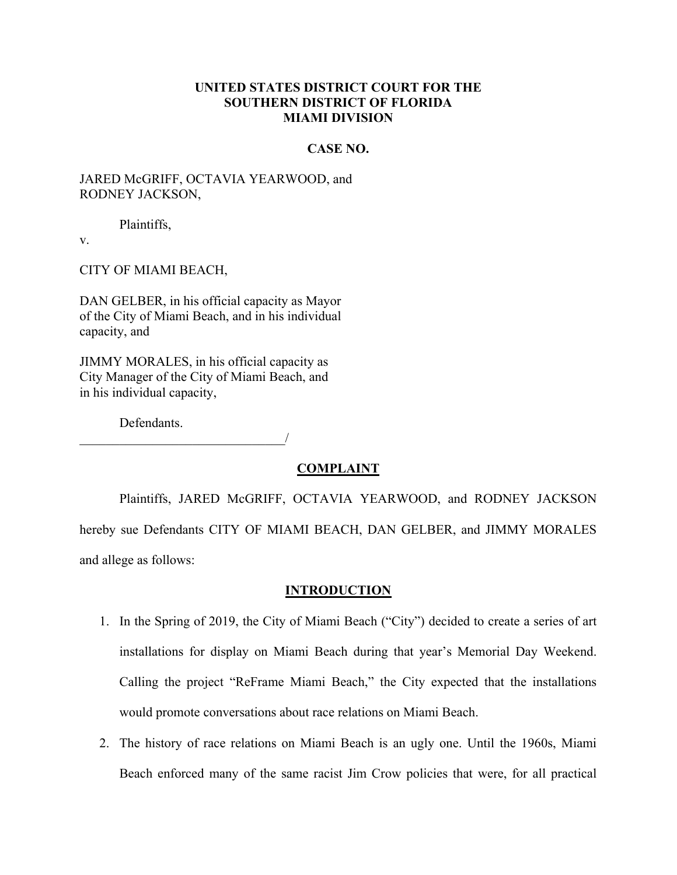## **UNITED STATES DISTRICT COURT FOR THE SOUTHERN DISTRICT OF FLORIDA MIAMI DIVISION**

### **CASE NO.**

# JARED McGRIFF, OCTAVIA YEARWOOD, and RODNEY JACKSON,

Plaintiffs,

v.

CITY OF MIAMI BEACH,

DAN GELBER, in his official capacity as Mayor of the City of Miami Beach, and in his individual capacity, and

JIMMY MORALES, in his official capacity as City Manager of the City of Miami Beach, and in his individual capacity,

Defendants.

\_\_\_\_\_\_\_\_\_\_\_\_\_\_\_\_\_\_\_\_\_\_\_\_\_\_\_\_\_\_\_/

### **COMPLAINT**

Plaintiffs, JARED McGRIFF, OCTAVIA YEARWOOD, and RODNEY JACKSON hereby sue Defendants CITY OF MIAMI BEACH, DAN GELBER, and JIMMY MORALES and allege as follows:

### **INTRODUCTION**

- 1. In the Spring of 2019, the City of Miami Beach ("City") decided to create a series of art installations for display on Miami Beach during that year's Memorial Day Weekend. Calling the project "ReFrame Miami Beach," the City expected that the installations would promote conversations about race relations on Miami Beach.
- 2. The history of race relations on Miami Beach is an ugly one. Until the 1960s, Miami Beach enforced many of the same racist Jim Crow policies that were, for all practical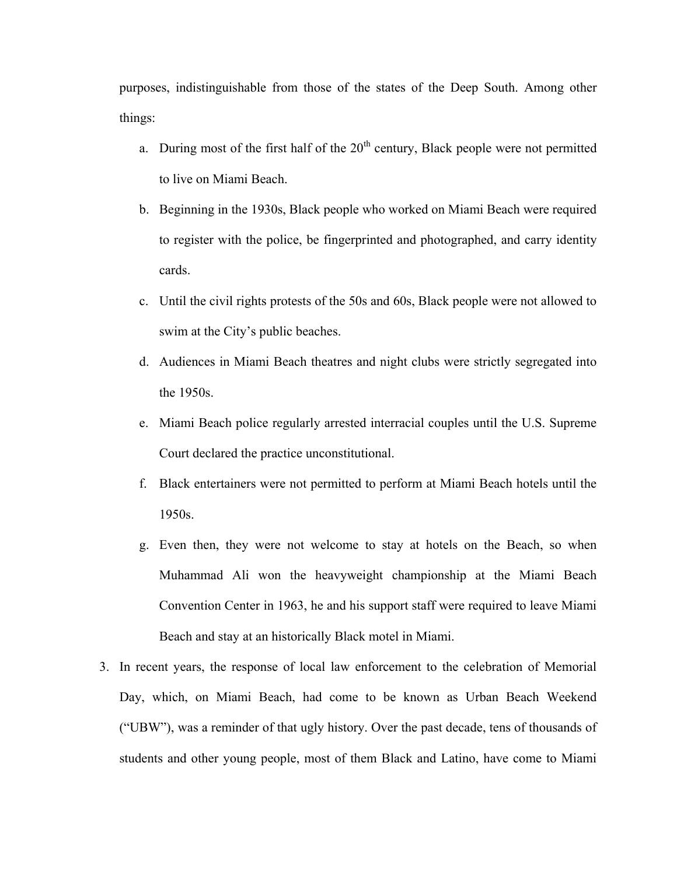purposes, indistinguishable from those of the states of the Deep South. Among other things:

- a. During most of the first half of the  $20<sup>th</sup>$  century, Black people were not permitted to live on Miami Beach.
- b. Beginning in the 1930s, Black people who worked on Miami Beach were required to register with the police, be fingerprinted and photographed, and carry identity cards.
- c. Until the civil rights protests of the 50s and 60s, Black people were not allowed to swim at the City's public beaches.
- d. Audiences in Miami Beach theatres and night clubs were strictly segregated into the 1950s.
- e. Miami Beach police regularly arrested interracial couples until the U.S. Supreme Court declared the practice unconstitutional.
- f. Black entertainers were not permitted to perform at Miami Beach hotels until the 1950s.
- g. Even then, they were not welcome to stay at hotels on the Beach, so when Muhammad Ali won the heavyweight championship at the Miami Beach Convention Center in 1963, he and his support staff were required to leave Miami Beach and stay at an historically Black motel in Miami.
- 3. In recent years, the response of local law enforcement to the celebration of Memorial Day, which, on Miami Beach, had come to be known as Urban Beach Weekend ("UBW´), was a reminder of that ugly history. Over the past decade, tens of thousands of students and other young people, most of them Black and Latino, have come to Miami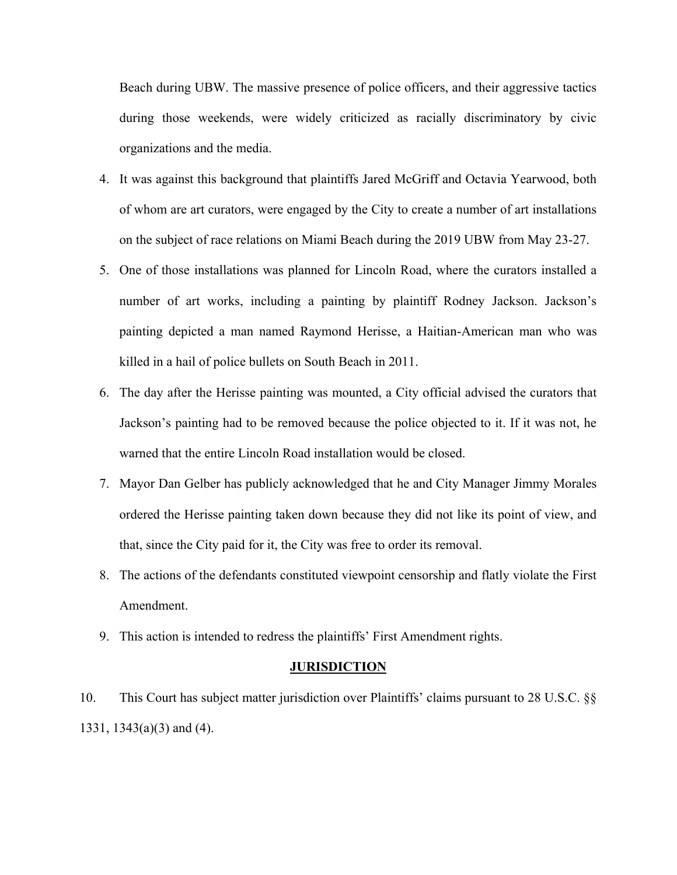Beach during UBW. The massive presence of police officers, and their aggressive tactics during those weekends, were widely criticized as racially discriminatory by civic organizations and the media.

- 4. It was against this background that plaintiffs Jared McGriff and Octavia Yearwood, both of whom are art curators, were engaged by the City to create a number of art installations on the subject of race relations on Miami Beach during the 2019 UBW from May 23-27.
- 5. One of those installations was planned for Lincoln Road, where the curators installed a number of art works, including a painting by plaintiff Rodney Jackson. Jackson's painting depicted a man named Raymond Herisse, a Haitian-American man who was killed in a hail of police bullets on South Beach in 2011.
- 6. The day after the Herisse painting was mounted, a City official advised the curators that Jackson's painting had to be removed because the police objected to it. If it was not, he warned that the entire Lincoln Road installation would be closed.
- 7. Mayor Dan Gelber has publicly acknowledged that he and City Manager Jimmy Morales ordered the Herisse painting taken down because they did not like its point of view, and that, since the City paid for it, the City was free to order its removal.
- 8. The actions of the defendants constituted viewpoint censorship and flatly violate the First Amendment.
- 9. This action is intended to redress the plaintiffs' First Amendment rights.

#### **JURISDICTION**

10. This Court has subject matter jurisdiction over Plaintiffs' claims pursuant to 28 U.S.C. §§ 1331, 1343(a)(3) and (4).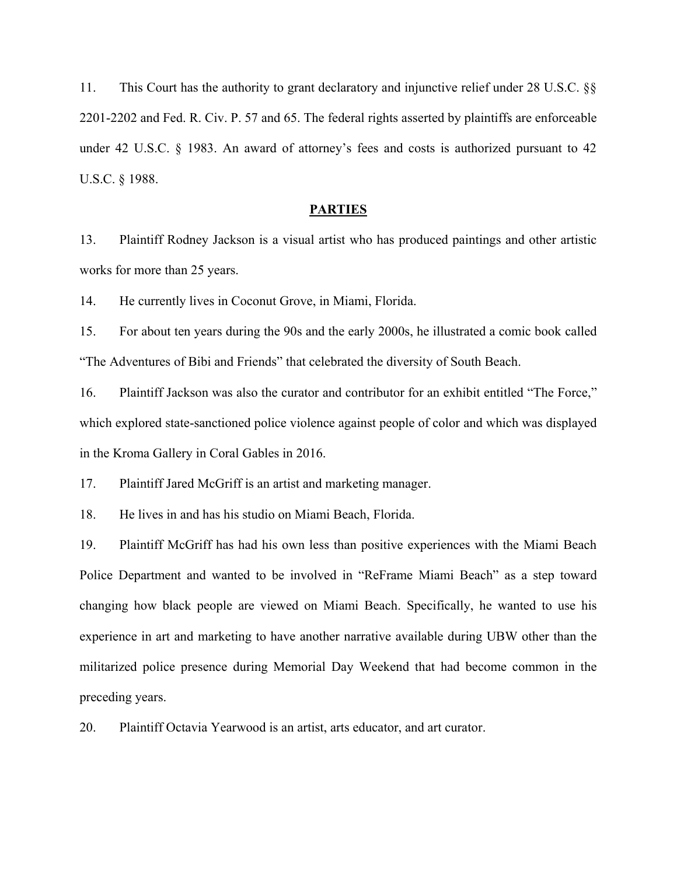11. This Court has the authority to grant declaratory and injunctive relief under 28 U.S.C. §§ 2201-2202 and Fed. R. Civ. P. 57 and 65. The federal rights asserted by plaintiffs are enforceable under 42 U.S.C.  $\S$  1983. An award of attorney's fees and costs is authorized pursuant to 42 U.S.C. § 1988.

### **PARTIES**

13. Plaintiff Rodney Jackson is a visual artist who has produced paintings and other artistic works for more than 25 years.

14. He currently lives in Coconut Grove, in Miami, Florida.

15. For about ten years during the 90s and the early 2000s, he illustrated a comic book called "The Adventures of Bibi and Friends" that celebrated the diversity of South Beach.

16. Plaintiff Jackson was also the curator and contributor for an exhibit entitled "The Force,´ which explored state-sanctioned police violence against people of color and which was displayed in the Kroma Gallery in Coral Gables in 2016.

17. Plaintiff Jared McGriff is an artist and marketing manager.

18. He lives in and has his studio on Miami Beach, Florida.

19. Plaintiff McGriff has had his own less than positive experiences with the Miami Beach Police Department and wanted to be involved in "ReFrame Miami Beach" as a step toward changing how black people are viewed on Miami Beach. Specifically, he wanted to use his experience in art and marketing to have another narrative available during UBW other than the militarized police presence during Memorial Day Weekend that had become common in the preceding years.

20. Plaintiff Octavia Yearwood is an artist, arts educator, and art curator.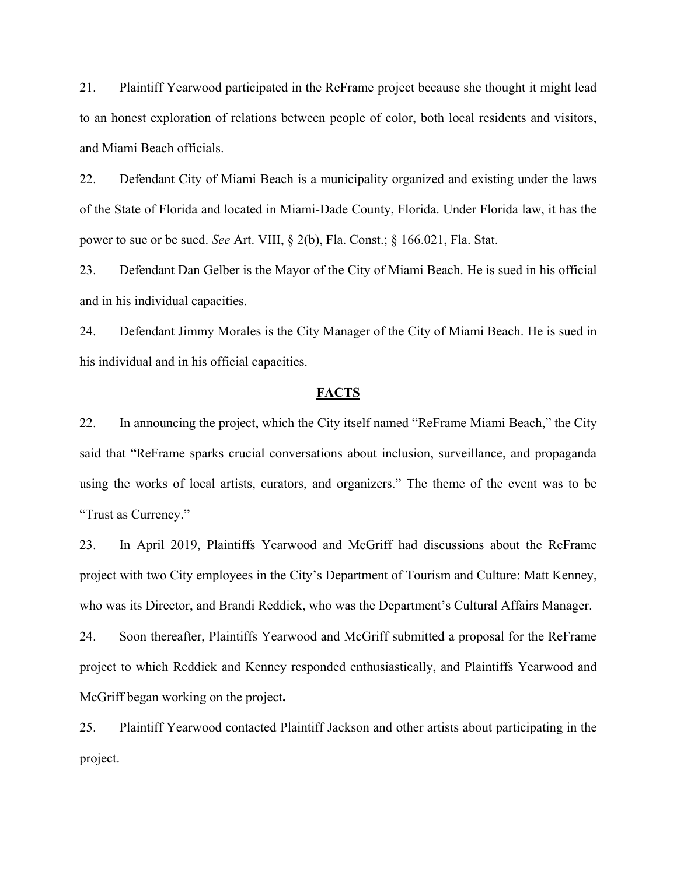21. Plaintiff Yearwood participated in the ReFrame project because she thought it might lead to an honest exploration of relations between people of color, both local residents and visitors, and Miami Beach officials.

22. Defendant City of Miami Beach is a municipality organized and existing under the laws of the State of Florida and located in Miami-Dade County, Florida. Under Florida law, it has the power to sue or be sued. *See* Art. VIII, § 2(b), Fla. Const.; § 166.021, Fla. Stat.

23. Defendant Dan Gelber is the Mayor of the City of Miami Beach. He is sued in his official and in his individual capacities.

24. Defendant Jimmy Morales is the City Manager of the City of Miami Beach. He is sued in his individual and in his official capacities.

### **FACTS**

22. In announcing the project, which the City itself named "ReFrame Miami Beach," the City said that "ReFrame sparks crucial conversations about inclusion, surveillance, and propaganda using the works of local artists, curators, and organizers." The theme of the event was to be "Trust as Currency.´

23. In April 2019, Plaintiffs Yearwood and McGriff had discussions about the ReFrame project with two City employees in the City's Department of Tourism and Culture: Matt Kenney, who was its Director, and Brandi Reddick, who was the Department's Cultural Affairs Manager.

24. Soon thereafter, Plaintiffs Yearwood and McGriff submitted a proposal for the ReFrame project to which Reddick and Kenney responded enthusiastically, and Plaintiffs Yearwood and McGriff began working on the project**.**

25. Plaintiff Yearwood contacted Plaintiff Jackson and other artists about participating in the project.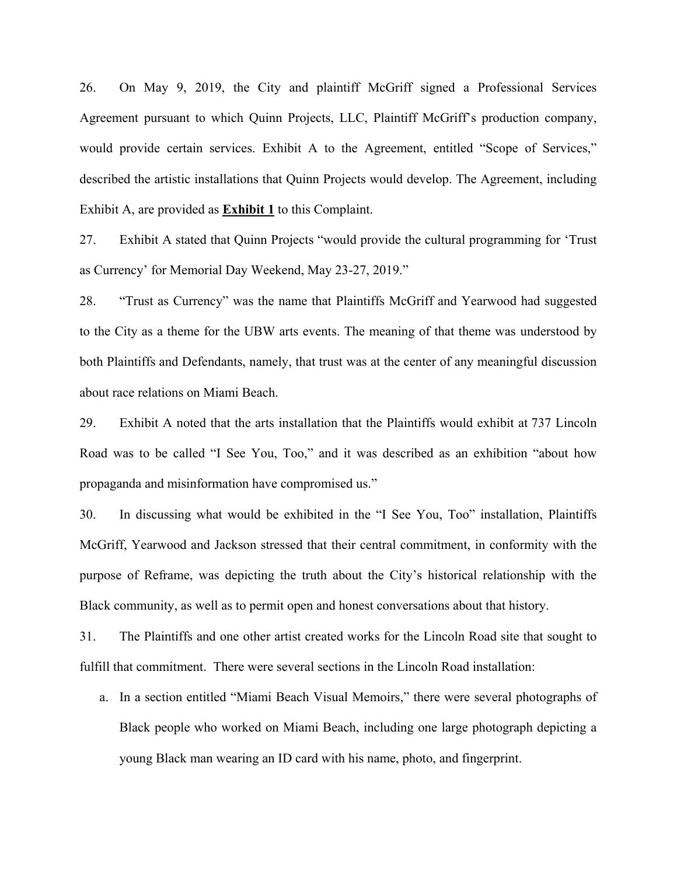26. On May 9, 2019, the City and plaintiff McGriff signed a Professional Services Agreement pursuant to which Quinn Projects, LLC, Plaintiff McGriff's production company, would provide certain services. Exhibit A to the Agreement, entitled "Scope of Services," described the artistic installations that Quinn Projects would develop. The Agreement, including Exhibit A, are provided as **Exhibit 1** to this Complaint.

27. Exhibit A stated that Quinn Projects "would provide the cultural programming for 'Trust' as Currency' for Memorial Day Weekend, May 23-27, 2019.<sup>"</sup>

28. "Trust as Currency´ was the name that Plaintiffs McGriff and Yearwood had suggested to the City as a theme for the UBW arts events. The meaning of that theme was understood by both Plaintiffs and Defendants, namely, that trust was at the center of any meaningful discussion about race relations on Miami Beach.

29. Exhibit A noted that the arts installation that the Plaintiffs would exhibit at 737 Lincoln Road was to be called "I See You, Too," and it was described as an exhibition "about how propaganda and misinformation have compromised us.´

30. In discussing what would be exhibited in the "I See You, Too´ installation, Plaintiffs McGriff, Yearwood and Jackson stressed that their central commitment, in conformity with the purpose of Reframe, was depicting the truth about the City's historical relationship with the Black community, as well as to permit open and honest conversations about that history.

31. The Plaintiffs and one other artist created works for the Lincoln Road site that sought to fulfill that commitment. There were several sections in the Lincoln Road installation:

a. In a section entitled "Miami Beach Visual Memoirs," there were several photographs of Black people who worked on Miami Beach, including one large photograph depicting a young Black man wearing an ID card with his name, photo, and fingerprint.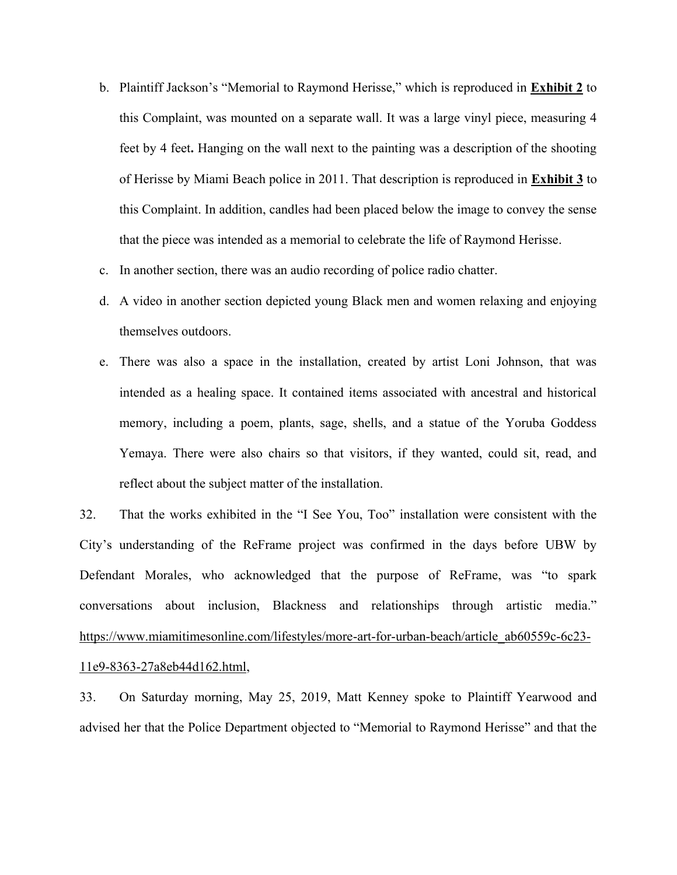- b. Plaintiff Jackson's "Memorial to Raymond Herisse," which is reproduced in **Exhibit 2** to this Complaint, was mounted on a separate wall. It was a large vinyl piece, measuring 4 feet by 4 feet**.** Hanging on the wall next to the painting was a description of the shooting of Herisse by Miami Beach police in 2011. That description is reproduced in **Exhibit 3** to this Complaint. In addition, candles had been placed below the image to convey the sense that the piece was intended as a memorial to celebrate the life of Raymond Herisse.
- c. In another section, there was an audio recording of police radio chatter.
- d. A video in another section depicted young Black men and women relaxing and enjoying themselves outdoors.
- e. There was also a space in the installation, created by artist Loni Johnson, that was intended as a healing space. It contained items associated with ancestral and historical memory, including a poem, plants, sage, shells, and a statue of the Yoruba Goddess Yemaya. There were also chairs so that visitors, if they wanted, could sit, read, and reflect about the subject matter of the installation.

32. That the works exhibited in the "I See You, Too" installation were consistent with the City's understanding of the ReFrame project was confirmed in the days before UBW by Defendant Morales, who acknowledged that the purpose of ReFrame, was "to spark conversations about inclusion, Blackness and relationships through artistic media.´ [https://www.miamitimesonline.com/lifestyles/more-art-for-urban-beach/article\\_ab60559c-6c23-](https://www.miamitimesonline.com/lifestyles/more-art-for-urban-beach/article_ab60559c-6c23-11e9-8363-27a8eb44d162.html) [11e9-8363-27a8eb44d162.html,](https://www.miamitimesonline.com/lifestyles/more-art-for-urban-beach/article_ab60559c-6c23-11e9-8363-27a8eb44d162.html)

33. On Saturday morning, May 25, 2019, Matt Kenney spoke to Plaintiff Yearwood and advised her that the Police Department objected to "Memorial to Raymond Herisse" and that the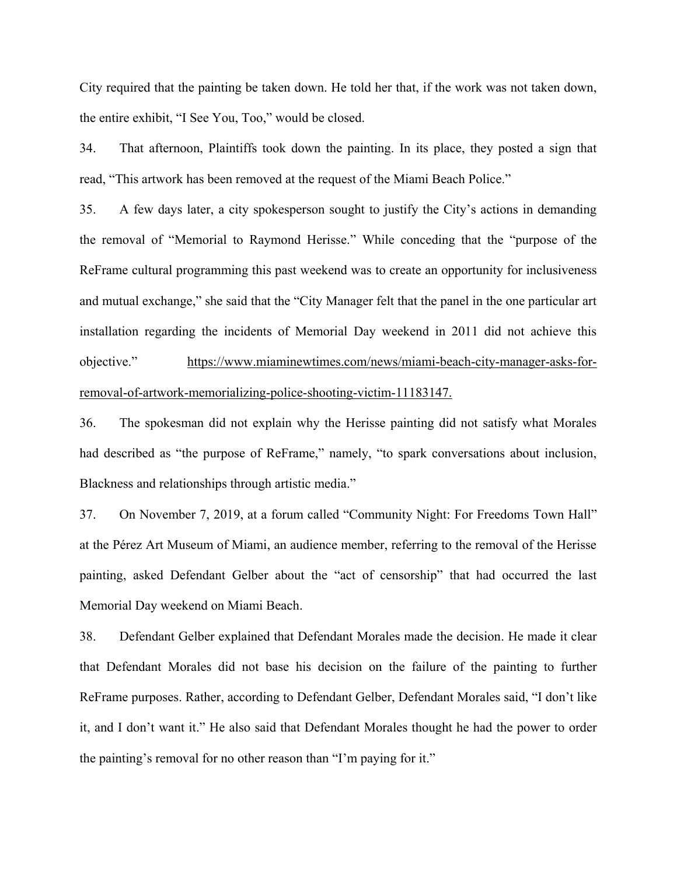City required that the painting be taken down. He told her that, if the work was not taken down, the entire exhibit, "I See You, Too,´ would be closed.

34. That afternoon, Plaintiffs took down the painting. In its place, they posted a sign that read, "This artwork has been removed at the request of the Miami Beach Police.´

35. A few days later, a city spokesperson sought to justify the City's actions in demanding the removal of "Memorial to Raymond Herisse.´ While conceding that the "purpose of the ReFrame cultural programming this past weekend was to create an opportunity for inclusiveness and mutual exchange," she said that the "City Manager felt that the panel in the one particular art installation regarding the incidents of Memorial Day weekend in 2011 did not achieve this objective.´ [https://www.miaminewtimes.com/news/miami-beach-city-manager-asks-for](https://www.miaminewtimes.com/news/miami-beach-city-manager-asks-for-removal-of-artwork-memorializing-police-shooting-victim-11183147)[removal-of-artwork-memorializing-police-shooting-victim-11183147.](https://www.miaminewtimes.com/news/miami-beach-city-manager-asks-for-removal-of-artwork-memorializing-police-shooting-victim-11183147)

36. The spokesman did not explain why the Herisse painting did not satisfy what Morales had described as "the purpose of ReFrame," namely, "to spark conversations about inclusion, Blackness and relationships through artistic media."

37. On November 7, 2019, at a forum called "Community Night: For Freedoms Town Hall" at the Pérez Art Museum of Miami, an audience member, referring to the removal of the Herisse painting, asked Defendant Gelber about the "act of censorship" that had occurred the last Memorial Day weekend on Miami Beach.

38. Defendant Gelber explained that Defendant Morales made the decision. He made it clear that Defendant Morales did not base his decision on the failure of the painting to further ReFrame purposes. Rather, according to Defendant Gelber, Defendant Morales said, "I don't like it, and I don't want it." He also said that Defendant Morales thought he had the power to order the painting's removal for no other reason than "I'm paying for it."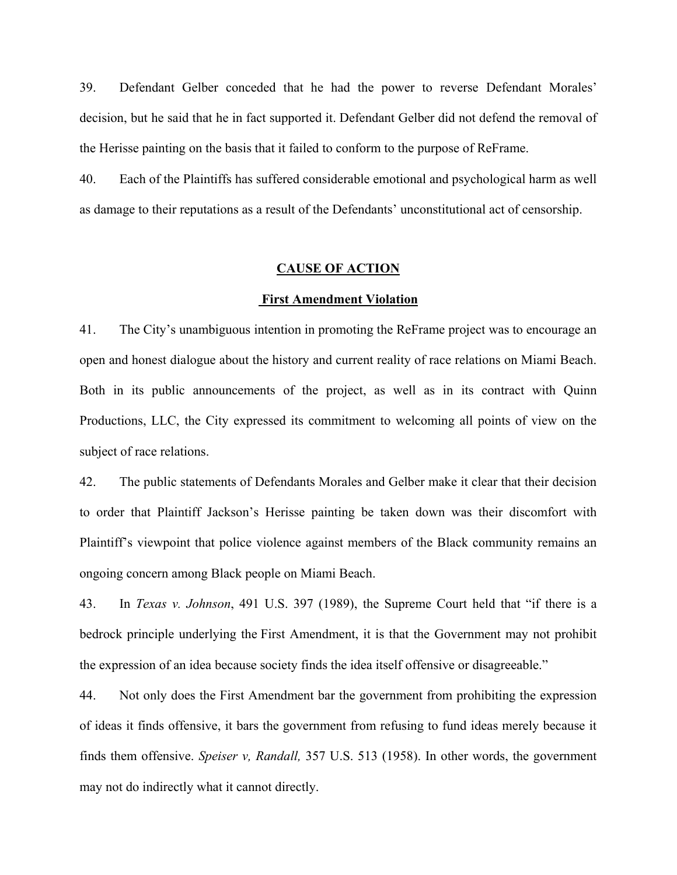39. Defendant Gelber conceded that he had the power to reverse Defendant Morales' decision, but he said that he in fact supported it. Defendant Gelber did not defend the removal of the Herisse painting on the basis that it failed to conform to the purpose of ReFrame.

40. Each of the Plaintiffs has suffered considerable emotional and psychological harm as well as damage to their reputations as a result of the Defendants' unconstitutional act of censorship.

### **CAUSE OF ACTION**

#### **First Amendment Violation**

41. The City's unambiguous intention in promoting the ReFrame project was to encourage an open and honest dialogue about the history and current reality of race relations on Miami Beach. Both in its public announcements of the project, as well as in its contract with Quinn Productions, LLC, the City expressed its commitment to welcoming all points of view on the subject of race relations.

42. The public statements of Defendants Morales and Gelber make it clear that their decision to order that Plaintiff Jackson's Herisse painting be taken down was their discomfort with Plaintiff's viewpoint that police violence against members of the Black community remains an ongoing concern among Black people on Miami Beach.

43. In *Texas v. Johnson*, 491 U.S. 397 (1989), the Supreme Court held that "if there is a bedrock principle underlying the First Amendment, it is that the Government may not prohibit the expression of an idea because society finds the idea itself offensive or disagreeable.´

44. Not only does the First Amendment bar the government from prohibiting the expression of ideas it finds offensive, it bars the government from refusing to fund ideas merely because it finds them offensive. *Speiser v, Randall,* 357 U.S. 513 (1958). In other words, the government may not do indirectly what it cannot directly.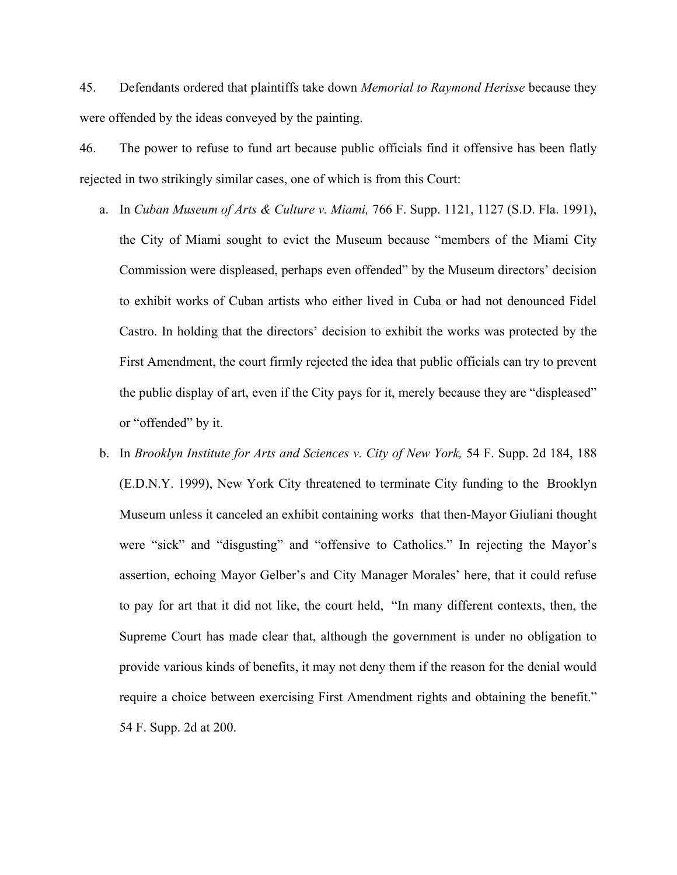45. Defendants ordered that plaintiffs take down *Memorial to Raymond Herisse* because they were offended by the ideas conveyed by the painting.

46. The power to refuse to fund art because public officials find it offensive has been flatly rejected in two strikingly similar cases, one of which is from this Court:

- a. In *Cuban Museum of Arts & Culture v. Miami,* 766 F. Supp. 1121, 1127 (S.D. Fla. 1991), the City of Miami sought to evict the Museum because "members of the Miami City Commission were displeased, perhaps even offended" by the Museum directors' decision to exhibit works of Cuban artists who either lived in Cuba or had not denounced Fidel Castro. In holding that the directors' decision to exhibit the works was protected by the First Amendment, the court firmly rejected the idea that public officials can try to prevent the public display of art, even if the City pays for it, merely because they are "displeased´ or "offended" by it.
- b. In *Brooklyn Institute for Arts and Sciences v. City of New York,* 54 F. Supp. 2d 184, 188 (E.D.N.Y. 1999), New York City threatened to terminate City funding to the Brooklyn Museum unless it canceled an exhibit containing works that then-Mayor Giuliani thought were "sick" and "disgusting" and "offensive to Catholics." In rejecting the Mayor's assertion, echoing Mayor Gelber's and City Manager Morales' here, that it could refuse to pay for art that it did not like, the court held, "In many different contexts, then, the Supreme Court has made clear that, although the government is under no obligation to provide various kinds of benefits, it may not deny them if the reason for the denial would require a choice between exercising First Amendment rights and obtaining the benefit.<sup>"</sup> 54 F. Supp. 2d at 200.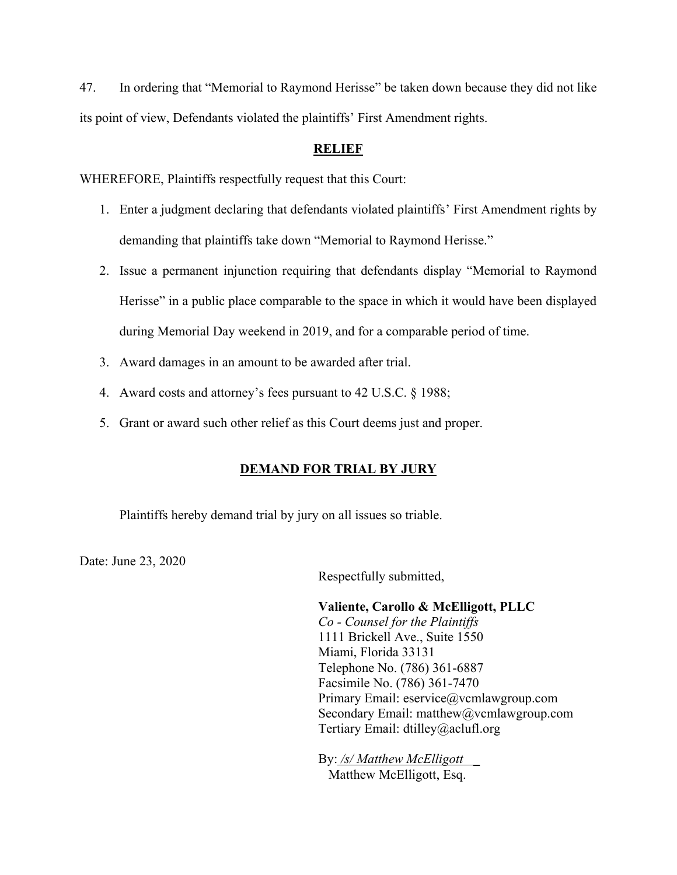47. In ordering that "Memorial to Raymond Herisse´ be taken down because they did not like its point of view, Defendants violated the plaintiffs' First Amendment rights.

# **RELIEF**

WHEREFORE, Plaintiffs respectfully request that this Court:

- 1. Enter a judgment declaring that defendants violated plaintiffs' First Amendment rights by demanding that plaintiffs take down "Memorial to Raymond Herisse.´
- 2. Issue a permanent injunction requiring that defendants display "Memorial to Raymond Herisse" in a public place comparable to the space in which it would have been displayed during Memorial Day weekend in 2019, and for a comparable period of time.
- 3. Award damages in an amount to be awarded after trial.
- 4. Award costs and attorney's fees pursuant to 42 U.S.C. § 1988;
- 5. Grant or award such other relief as this Court deems just and proper.

# **DEMAND FOR TRIAL BY JURY**

Plaintiffs hereby demand trial by jury on all issues so triable.

Date: June 23, 2020

Respectfully submitted,

**Valiente, Carollo & McElligott, PLLC** *Co - Counsel for the Plaintiffs* 1111 Brickell Ave., Suite 1550 Miami, Florida 33131 Telephone No. (786) 361-6887 Facsimile No. (786) 361-7470 Primary Email: eservice@vcmlawgroup.com Secondary Email: matthew@vcmlawgroup.com Tertiary Email: dtilley@aclufl.org

By: */s/ Matthew McElligott \_* Matthew McElligott, Esq.